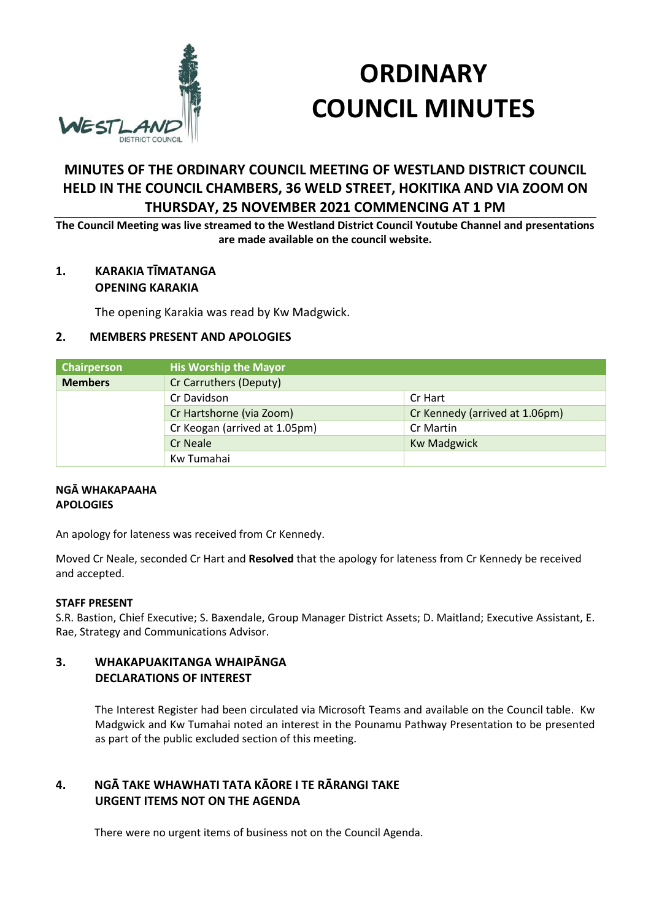

# **ORDINARY COUNCIL MINUTES**

# **MINUTES OF THE ORDINARY COUNCIL MEETING OF WESTLAND DISTRICT COUNCIL HELD IN THE COUNCIL CHAMBERS, 36 WELD STREET, HOKITIKA AND VIA ZOOM ON THURSDAY, 25 NOVEMBER 2021 COMMENCING AT 1 PM**

**The Council Meeting was live streamed to the Westland District Council Youtube Channel and presentations are made available on the council website.** 

## **1. KARAKIA TĪMATANGA OPENING KARAKIA**

The opening Karakia was read by Kw Madgwick.

## **2. MEMBERS PRESENT AND APOLOGIES**

| Chairperson    | <b>His Worship the Mayor</b>  |                                |
|----------------|-------------------------------|--------------------------------|
| <b>Members</b> | Cr Carruthers (Deputy)        |                                |
|                | Cr Davidson                   | Cr Hart                        |
|                | Cr Hartshorne (via Zoom)      | Cr Kennedy (arrived at 1.06pm) |
|                | Cr Keogan (arrived at 1.05pm) | Cr Martin                      |
|                | <b>Cr Neale</b>               | <b>Kw Madgwick</b>             |
|                | Kw Tumahai                    |                                |

#### **NGĀ WHAKAPAAHA APOLOGIES**

An apology for lateness was received from Cr Kennedy.

Moved Cr Neale, seconded Cr Hart and **Resolved** that the apology for lateness from Cr Kennedy be received and accepted.

#### **STAFF PRESENT**

S.R. Bastion, Chief Executive; S. Baxendale, Group Manager District Assets; D. Maitland; Executive Assistant, E. Rae, Strategy and Communications Advisor.

## **3. WHAKAPUAKITANGA WHAIPĀNGA DECLARATIONS OF INTEREST**

The Interest Register had been circulated via Microsoft Teams and available on the Council table. Kw Madgwick and Kw Tumahai noted an interest in the Pounamu Pathway Presentation to be presented as part of the public excluded section of this meeting.

## **4. NGĀ TAKE WHAWHATI TATA KĀORE I TE RĀRANGI TAKE URGENT ITEMS NOT ON THE AGENDA**

There were no urgent items of business not on the Council Agenda.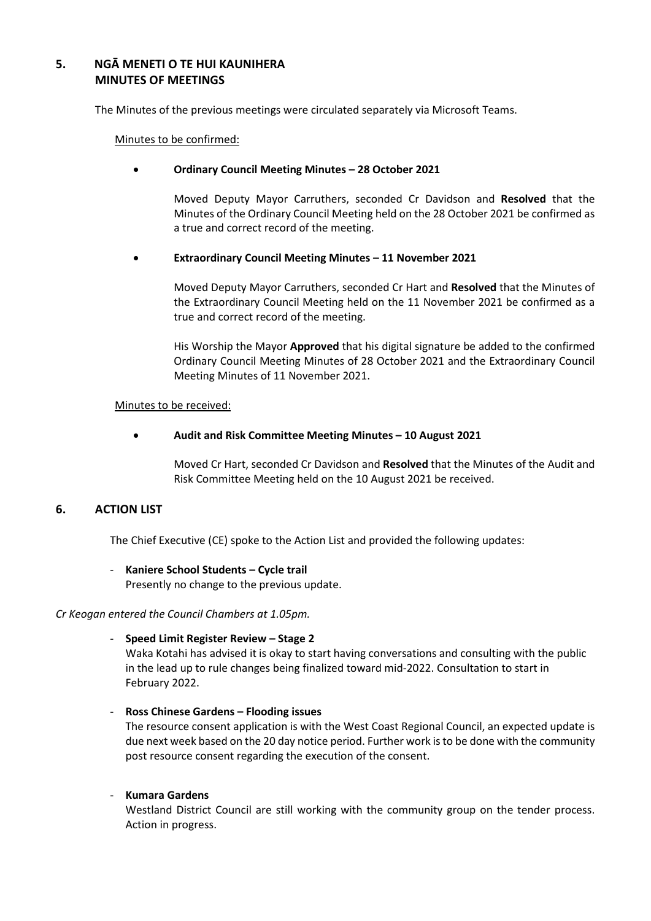## **5. NGĀ MENETI O TE HUI KAUNIHERA MINUTES OF MEETINGS**

The Minutes of the previous meetings were circulated separately via Microsoft Teams.

Minutes to be confirmed:

#### **Ordinary Council Meeting Minutes – 28 October 2021**

Moved Deputy Mayor Carruthers, seconded Cr Davidson and **Resolved** that the Minutes of the Ordinary Council Meeting held on the 28 October 2021 be confirmed as a true and correct record of the meeting.

#### **Extraordinary Council Meeting Minutes – 11 November 2021**

Moved Deputy Mayor Carruthers, seconded Cr Hart and **Resolved** that the Minutes of the Extraordinary Council Meeting held on the 11 November 2021 be confirmed as a true and correct record of the meeting.

His Worship the Mayor **Approved** that his digital signature be added to the confirmed Ordinary Council Meeting Minutes of 28 October 2021 and the Extraordinary Council Meeting Minutes of 11 November 2021.

#### Minutes to be received:

**Audit and Risk Committee Meeting Minutes – 10 August 2021** 

Moved Cr Hart, seconded Cr Davidson and **Resolved** that the Minutes of the Audit and Risk Committee Meeting held on the 10 August 2021 be received.

## **6. ACTION LIST**

The Chief Executive (CE) spoke to the Action List and provided the following updates:

## - **Kaniere School Students – Cycle trail**

Presently no change to the previous update.

#### *Cr Keogan entered the Council Chambers at 1.05pm.*

#### - **Speed Limit Register Review – Stage 2**

Waka Kotahi has advised it is okay to start having conversations and consulting with the public in the lead up to rule changes being finalized toward mid-2022. Consultation to start in February 2022.

- **Ross Chinese Gardens – Flooding issues** 

The resource consent application is with the West Coast Regional Council, an expected update is due next week based on the 20 day notice period. Further work is to be done with the community post resource consent regarding the execution of the consent.

#### - **Kumara Gardens**

Westland District Council are still working with the community group on the tender process. Action in progress.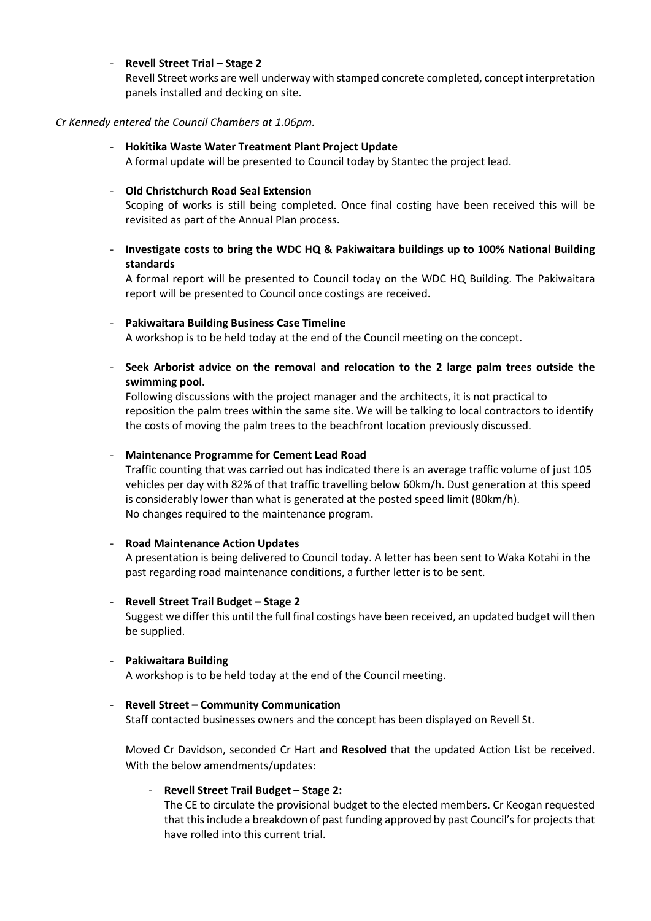#### - **Revell Street Trial – Stage 2**

Revell Street works are well underway with stamped concrete completed, concept interpretation panels installed and decking on site.

#### *Cr Kennedy entered the Council Chambers at 1.06pm.*

#### - **Hokitika Waste Water Treatment Plant Project Update**

A formal update will be presented to Council today by Stantec the project lead.

#### - **Old Christchurch Road Seal Extension**

Scoping of works is still being completed. Once final costing have been received this will be revisited as part of the Annual Plan process.

## - **Investigate costs to bring the WDC HQ & Pakiwaitara buildings up to 100% National Building standards**

A formal report will be presented to Council today on the WDC HQ Building. The Pakiwaitara report will be presented to Council once costings are received.

#### - **Pakiwaitara Building Business Case Timeline**

A workshop is to be held today at the end of the Council meeting on the concept.

- **Seek Arborist advice on the removal and relocation to the 2 large palm trees outside the swimming pool.** 

Following discussions with the project manager and the architects, it is not practical to reposition the palm trees within the same site. We will be talking to local contractors to identify the costs of moving the palm trees to the beachfront location previously discussed.

#### - **Maintenance Programme for Cement Lead Road**

Traffic counting that was carried out has indicated there is an average traffic volume of just 105 vehicles per day with 82% of that traffic travelling below 60km/h. Dust generation at this speed is considerably lower than what is generated at the posted speed limit (80km/h). No changes required to the maintenance program.

#### - **Road Maintenance Action Updates**

A presentation is being delivered to Council today. A letter has been sent to Waka Kotahi in the past regarding road maintenance conditions, a further letter is to be sent.

#### - **Revell Street Trail Budget – Stage 2**

Suggest we differ this until the full final costings have been received, an updated budget will then be supplied.

#### - **Pakiwaitara Building**

A workshop is to be held today at the end of the Council meeting.

#### - **Revell Street – Community Communication**

Staff contacted businesses owners and the concept has been displayed on Revell St.

Moved Cr Davidson, seconded Cr Hart and **Resolved** that the updated Action List be received. With the below amendments/updates:

#### - **Revell Street Trail Budget – Stage 2:**

The CE to circulate the provisional budget to the elected members. Cr Keogan requested that this include a breakdown of past funding approved by past Council's for projects that have rolled into this current trial.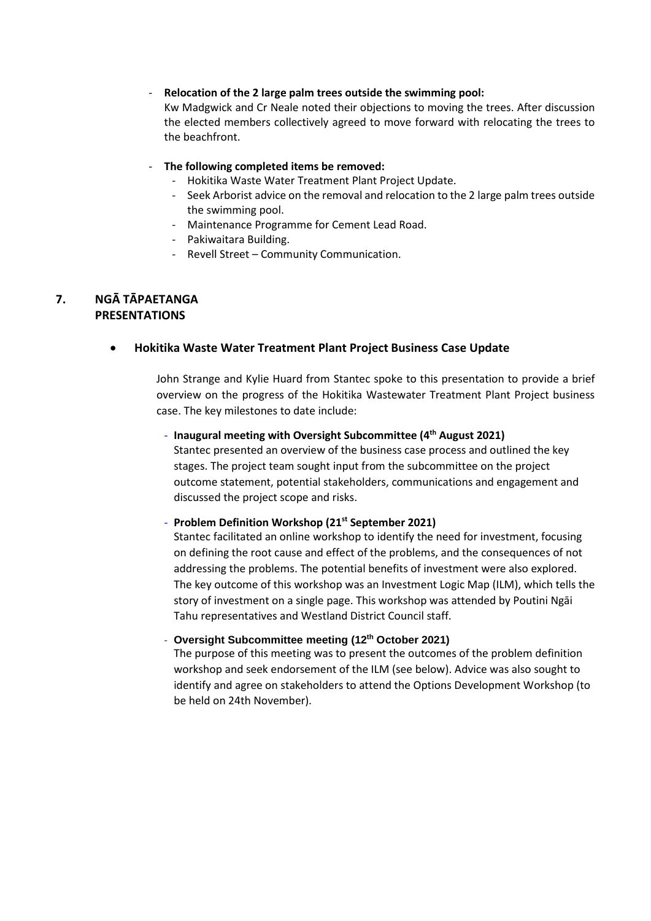#### - **Relocation of the 2 large palm trees outside the swimming pool:**

Kw Madgwick and Cr Neale noted their objections to moving the trees. After discussion the elected members collectively agreed to move forward with relocating the trees to the beachfront.

#### - **The following completed items be removed:**

- Hokitika Waste Water Treatment Plant Project Update.
- Seek Arborist advice on the removal and relocation to the 2 large palm trees outside the swimming pool.
- Maintenance Programme for Cement Lead Road.
- Pakiwaitara Building.
- Revell Street Community Communication.

#### **7. NGĀ TĀPAETANGA PRESENTATIONS**

#### **Hokitika Waste Water Treatment Plant Project Business Case Update**

John Strange and Kylie Huard from Stantec spoke to this presentation to provide a brief overview on the progress of the Hokitika Wastewater Treatment Plant Project business case. The key milestones to date include:

#### - **Inaugural meeting with Oversight Subcommittee (4th August 2021)**

Stantec presented an overview of the business case process and outlined the key stages. The project team sought input from the subcommittee on the project outcome statement, potential stakeholders, communications and engagement and discussed the project scope and risks.

#### - **Problem Definition Workshop (21st September 2021)**

Stantec facilitated an online workshop to identify the need for investment, focusing on defining the root cause and effect of the problems, and the consequences of not addressing the problems. The potential benefits of investment were also explored. The key outcome of this workshop was an Investment Logic Map (ILM), which tells the story of investment on a single page. This workshop was attended by Poutini Ngāi Tahu representatives and Westland District Council staff.

## - **Oversight Subcommittee meeting (12th October 2021)**

The purpose of this meeting was to present the outcomes of the problem definition workshop and seek endorsement of the ILM (see below). Advice was also sought to identify and agree on stakeholders to attend the Options Development Workshop (to be held on 24th November).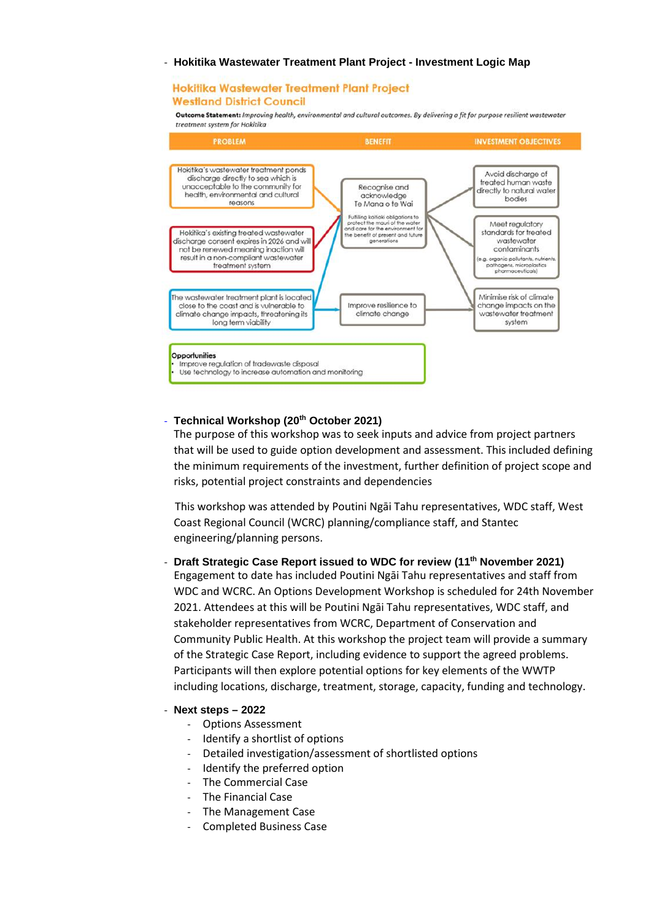#### - **Hokitika Wastewater Treatment Plant Project - Investment Logic Map**

#### Hokitika Wastewater Treatment Plant Project **Westland District Council**

Outcome Statement: Improving health, environmental and cultural outcomes. By delivering a fit for purpose resilient wastewater treatment system for Hokitika



#### - **Technical Workshop (20th October 2021)**

The purpose of this workshop was to seek inputs and advice from project partners that will be used to guide option development and assessment. This included defining the minimum requirements of the investment, further definition of project scope and risks, potential project constraints and dependencies

This workshop was attended by Poutini Ngāi Tahu representatives, WDC staff, West Coast Regional Council (WCRC) planning/compliance staff, and Stantec engineering/planning persons.

- **Draft Strategic Case Report issued to WDC for review (11th November 2021)**  Engagement to date has included Poutini Ngāi Tahu representatives and staff from WDC and WCRC. An Options Development Workshop is scheduled for 24th November 2021. Attendees at this will be Poutini Ngāi Tahu representatives, WDC staff, and stakeholder representatives from WCRC, Department of Conservation and Community Public Health. At this workshop the project team will provide a summary of the Strategic Case Report, including evidence to support the agreed problems. Participants will then explore potential options for key elements of the WWTP including locations, discharge, treatment, storage, capacity, funding and technology.

#### - **Next steps – 2022**

- Options Assessment
- Identify a shortlist of options
- Detailed investigation/assessment of shortlisted options
- Identify the preferred option
- The Commercial Case
- The Financial Case
- The Management Case
- Completed Business Case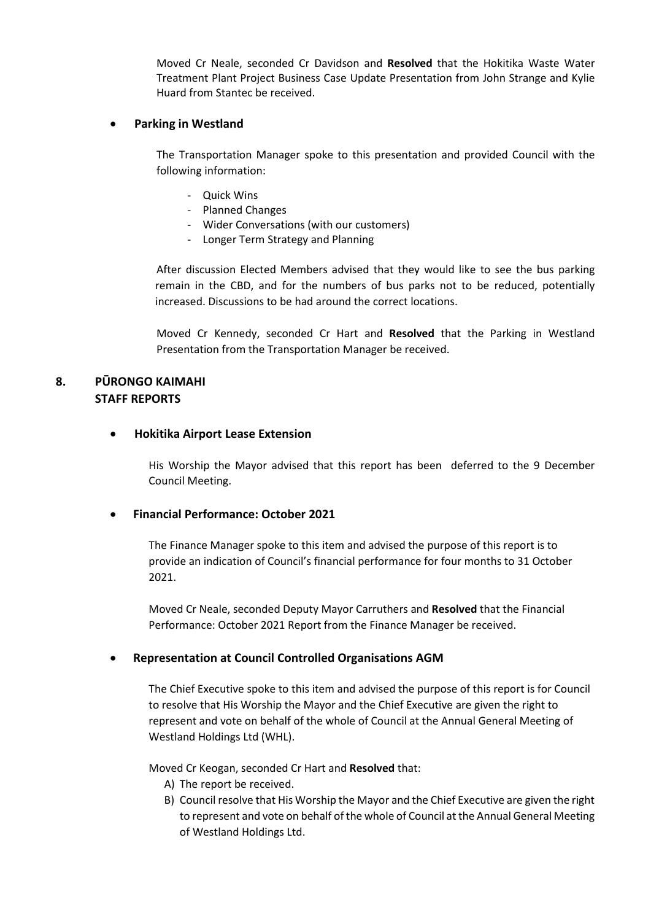Moved Cr Neale, seconded Cr Davidson and **Resolved** that the Hokitika Waste Water Treatment Plant Project Business Case Update Presentation from John Strange and Kylie Huard from Stantec be received.

#### **Parking in Westland**

The Transportation Manager spoke to this presentation and provided Council with the following information:

- Quick Wins
- Planned Changes
- Wider Conversations (with our customers)
- Longer Term Strategy and Planning

After discussion Elected Members advised that they would like to see the bus parking remain in the CBD, and for the numbers of bus parks not to be reduced, potentially increased. Discussions to be had around the correct locations.

Moved Cr Kennedy, seconded Cr Hart and **Resolved** that the Parking in Westland Presentation from the Transportation Manager be received.

# **8. PŪRONGO KAIMAHI STAFF REPORTS**

#### **Hokitika Airport Lease Extension**

His Worship the Mayor advised that this report has been deferred to the 9 December Council Meeting.

## **Financial Performance: October 2021**

The Finance Manager spoke to this item and advised the purpose of this report is to provide an indication of Council's financial performance for four months to 31 October 2021.

Moved Cr Neale, seconded Deputy Mayor Carruthers and **Resolved** that the Financial Performance: October 2021 Report from the Finance Manager be received.

## **Representation at Council Controlled Organisations AGM**

The Chief Executive spoke to this item and advised the purpose of this report is for Council to resolve that His Worship the Mayor and the Chief Executive are given the right to represent and vote on behalf of the whole of Council at the Annual General Meeting of Westland Holdings Ltd (WHL).

Moved Cr Keogan, seconded Cr Hart and **Resolved** that:

- A) The report be received.
- B) Council resolve that His Worship the Mayor and the Chief Executive are given the right to represent and vote on behalf of the whole of Council at the Annual General Meeting of Westland Holdings Ltd.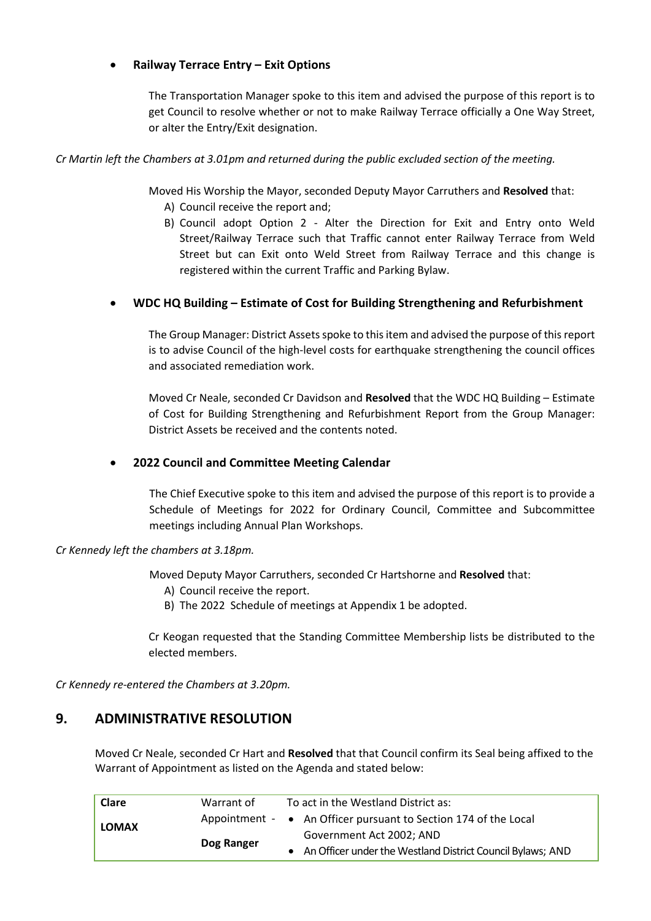## **Railway Terrace Entry – Exit Options**

The Transportation Manager spoke to this item and advised the purpose of this report is to get Council to resolve whether or not to make Railway Terrace officially a One Way Street, or alter the Entry/Exit designation.

## *Cr Martin left the Chambers at 3.01pm and returned during the public excluded section of the meeting.*

Moved His Worship the Mayor, seconded Deputy Mayor Carruthers and **Resolved** that:

- A) Council receive the report and;
- B) Council adopt Option 2 Alter the Direction for Exit and Entry onto Weld Street/Railway Terrace such that Traffic cannot enter Railway Terrace from Weld Street but can Exit onto Weld Street from Railway Terrace and this change is registered within the current Traffic and Parking Bylaw.

## **WDC HQ Building – Estimate of Cost for Building Strengthening and Refurbishment**

The Group Manager: District Assets spoke to this item and advised the purpose of this report is to advise Council of the high-level costs for earthquake strengthening the council offices and associated remediation work.

Moved Cr Neale, seconded Cr Davidson and **Resolved** that the WDC HQ Building – Estimate of Cost for Building Strengthening and Refurbishment Report from the Group Manager: District Assets be received and the contents noted.

## **2022 Council and Committee Meeting Calendar**

The Chief Executive spoke to this item and advised the purpose of this report is to provide a Schedule of Meetings for 2022 for Ordinary Council, Committee and Subcommittee meetings including Annual Plan Workshops.

*Cr Kennedy left the chambers at 3.18pm.* 

Moved Deputy Mayor Carruthers, seconded Cr Hartshorne and **Resolved** that:

- A) Council receive the report.
- B) The 2022 Schedule of meetings at Appendix 1 be adopted.

Cr Keogan requested that the Standing Committee Membership lists be distributed to the elected members.

*Cr Kennedy re-entered the Chambers at 3.20pm.* 

# **9. ADMINISTRATIVE RESOLUTION**

Moved Cr Neale, seconded Cr Hart and **Resolved** that that Council confirm its Seal being affixed to the Warrant of Appointment as listed on the Agenda and stated below:

| Clare        | Warrant of | To act in the Westland District as:                             |
|--------------|------------|-----------------------------------------------------------------|
| <b>LOMAX</b> |            | Appointment - • An Officer pursuant to Section 174 of the Local |
|              | Dog Ranger | Government Act 2002; AND                                        |
|              |            | • An Officer under the Westland District Council Bylaws; AND    |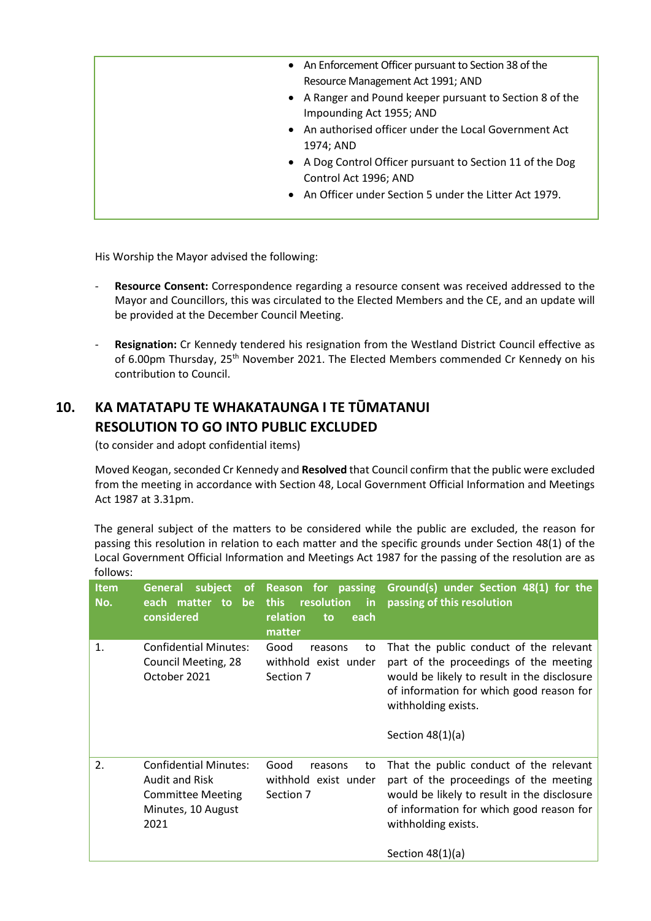- An Enforcement Officer pursuant to Section 38 of the Resource Management Act 1991; AND
- A Ranger and Pound keeper pursuant to Section 8 of the Impounding Act 1955; AND
- An authorised officer under the Local Government Act 1974; AND
- A Dog Control Officer pursuant to Section 11 of the Dog Control Act 1996; AND
- An Officer under Section 5 under the Litter Act 1979.

His Worship the Mayor advised the following:

- **Resource Consent:** Correspondence regarding a resource consent was received addressed to the Mayor and Councillors, this was circulated to the Elected Members and the CE, and an update will be provided at the December Council Meeting.
- **Resignation:** Cr Kennedy tendered his resignation from the Westland District Council effective as of 6.00pm Thursday, 25th November 2021. The Elected Members commended Cr Kennedy on his contribution to Council.

# **10. KA MATATAPU TE WHAKATAUNGA I TE TŪMATANUI RESOLUTION TO GO INTO PUBLIC EXCLUDED**

(to consider and adopt confidential items)

 Moved Keogan, seconded Cr Kennedy and **Resolved** that Council confirm that the public were excluded from the meeting in accordance with Section 48, Local Government Official Information and Meetings Act 1987 at 3.31pm.

The general subject of the matters to be considered while the public are excluded, the reason for passing this resolution in relation to each matter and the specific grounds under Section 48(1) of the Local Government Official Information and Meetings Act 1987 for the passing of the resolution are as follows:

| <b>Item</b><br>No. | <b>General</b><br>subject<br><b>of</b><br>each matter to be<br>considered                                       | Reason for passing<br>resolution<br>this<br>$\mathsf{in}$<br>relation<br>each<br>to<br>matter | Ground(s) under Section 48(1) for the<br>passing of this resolution                                                                                                                                                       |
|--------------------|-----------------------------------------------------------------------------------------------------------------|-----------------------------------------------------------------------------------------------|---------------------------------------------------------------------------------------------------------------------------------------------------------------------------------------------------------------------------|
| 1.                 | <b>Confidential Minutes:</b><br>Council Meeting, 28<br>October 2021                                             | Good<br>reasons<br>to<br>withhold exist under<br>Section 7                                    | That the public conduct of the relevant<br>part of the proceedings of the meeting<br>would be likely to result in the disclosure<br>of information for which good reason for<br>withholding exists.<br>Section $48(1)(a)$ |
| 2.                 | <b>Confidential Minutes:</b><br><b>Audit and Risk</b><br><b>Committee Meeting</b><br>Minutes, 10 August<br>2021 | Good<br>to<br>reasons<br>withhold exist under<br>Section 7                                    | That the public conduct of the relevant<br>part of the proceedings of the meeting<br>would be likely to result in the disclosure<br>of information for which good reason for<br>withholding exists.<br>Section $48(1)(a)$ |